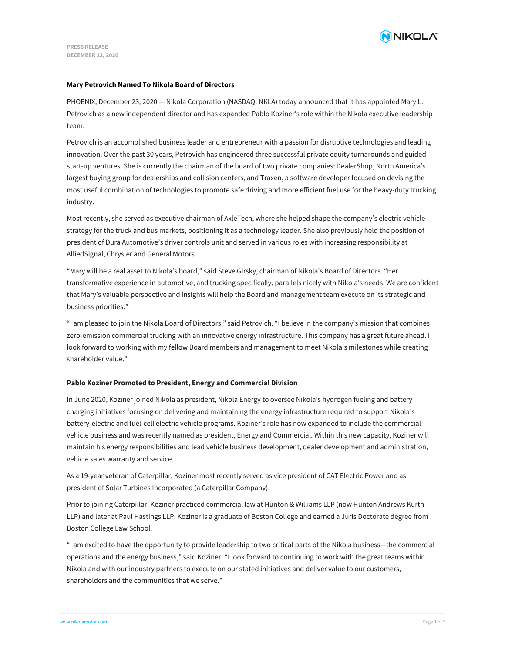

### **Mary Petrovich Named To Nikola Board of Directors**

PHOENIX, December 23, 2020 — Nikola Corporation (NASDAQ: NKLA) today announced that it has appointed Mary L. Petrovich as a new independent director and has expanded Pablo Koziner's role within the Nikola executive leadership team.

Petrovich is an accomplished business leader and entrepreneur with a passion for disruptive technologies and leading innovation. Over the past 30 years, Petrovich has engineered three successful private equity turnarounds and guided start-up ventures. She is currently the chairman of the board of two private companies: DealerShop, North America's largest buying group for dealerships and collision centers, and Traxen, a software developer focused on devising the most useful combination of technologies to promote safe driving and more efficient fuel use for the heavy-duty trucking industry.

Most recently, she served as executive chairman of AxleTech, where she helped shape the company's electric vehicle strategy for the truck and bus markets, positioning it as a technology leader. She also previously held the position of president of Dura Automotive's driver controls unit and served in various roles with increasing responsibility at AlliedSignal, Chrysler and General Motors.

"Mary will be a real asset to Nikola's board," said Steve Girsky, chairman of Nikola's Board of Directors. "Her transformative experience in automotive, and trucking specifically, parallels nicely with Nikola's needs. We are confident that Mary's valuable perspective and insights will help the Board and management team execute on its strategic and business priorities."

"I am pleased to join the Nikola Board of Directors," said Petrovich. "I believe in the company's mission that combines zero-emission commercial trucking with an innovative energy infrastructure. This company has a great future ahead. I look forward to working with my fellow Board members and management to meet Nikola's milestones while creating shareholder value."

# **Pablo Koziner Promoted to President, Energy and Commercial Division**

In June 2020, Koziner joined Nikola as president, Nikola Energy to oversee Nikola's hydrogen fueling and battery charging initiatives focusing on delivering and maintaining the energy infrastructure required to support Nikola's battery-electric and fuel-cell electric vehicle programs. Koziner's role has now expanded to include the commercial vehicle business and was recently named as president, Energy and Commercial. Within this new capacity, Koziner will maintain his energy responsibilities and lead vehicle business development, dealer development and administration, vehicle sales warranty and service.

As a 19-year veteran of Caterpillar, Koziner most recently served as vice president of CAT Electric Power and as president of Solar Turbines Incorporated (a Caterpillar Company).

Prior to joining Caterpillar, Koziner practiced commercial law at Hunton & Williams LLP (now Hunton Andrews Kurth LLP) and later at Paul Hastings LLP. Koziner is a graduate of Boston College and earned a Juris Doctorate degree from Boston College Law School.

"I am excited to have the opportunity to provide leadership to two critical parts of the Nikola business—the commercial operations and the energy business," said Koziner. "I look forward to continuing to work with the great teams within Nikola and with our industry partners to execute on our stated initiatives and deliver value to our customers, shareholders and the communities that we serve."